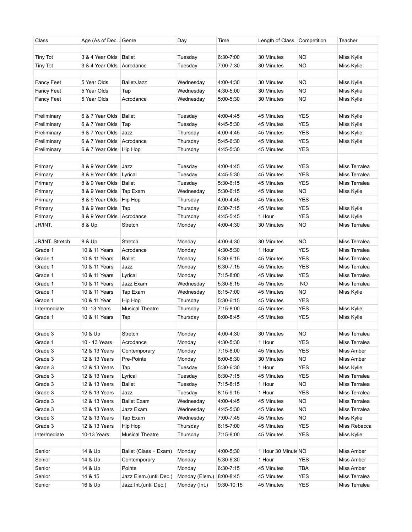| Class                  | Age (As of Dec. 1 Genre   |                        | Day            | Time          | Length of Class Competition |            | Teacher           |
|------------------------|---------------------------|------------------------|----------------|---------------|-----------------------------|------------|-------------------|
| <b>Tiny Tot</b>        | 3 & 4 Year Olds   Ballet  |                        | Tuesday        | 6:30-7:00     | 30 Minutes                  | <b>NO</b>  | Miss Kylie        |
| <b>Tiny Tot</b>        | 3 & 4 Year Olds           | Acrodance              | Tuesday        | 7:00-7:30     | 30 Minutes                  | NO         | Miss Kylie        |
|                        |                           |                        |                |               |                             |            |                   |
| <b>Fancy Feet</b>      | 5 Year Olds               | Ballet/Jazz            | Wednesday      | 4:00-4:30     | 30 Minutes                  | NO         | Miss Kylie        |
| Fancy Feet             | 5 Year Olds               | Tap                    | Wednesday      | 4:30-5:00     | 30 Minutes                  | NO         | Miss Kylie        |
| <b>Fancy Feet</b>      | 5 Year Olds               | Acrodance              | Wednesday      | 5:00-5:30     | 30 Minutes                  | <b>NO</b>  | Miss Kylie        |
|                        |                           |                        |                |               |                             |            |                   |
| Preliminary            | 6 & 7 Year Olds Ballet    |                        | Tuesday        | 4:00-4:45     | 45 Minutes                  | <b>YES</b> | Miss Kylie        |
| Preliminary            | 6 & 7 Year Olds           | Tap                    | Tuesday        | 4:45-5:30     | 45 Minutes                  | <b>YES</b> | Miss Kylie        |
| Preliminary            | 6 & 7 Year Olds           | Jazz                   | Thursday       | 4:00-4:45     | 45 Minutes                  | <b>YES</b> | Miss Kylie        |
| Preliminary            | 6 & 7 Year Olds           | Acrodance              | Thursday       | 5:45-6:30     | 45 Minutes                  | <b>YES</b> | Miss Kylie        |
| Preliminary            | 6 & 7 Year Olds           | Hip Hop                | Thursday       | 4:45-5:30     | 45 Minutes                  | <b>YES</b> |                   |
|                        |                           |                        |                |               |                             |            |                   |
| Primary                | 8 & 9 Year Olds           | Jazz                   | Tuesday        | 4:00-4:45     | 45 Minutes                  | <b>YES</b> | Miss Terralea     |
| Primary                | 8 & 9 Year Olds           | Lyrical                | Tuesday        | 4:45-5:30     | 45 Minutes                  | <b>YES</b> | Miss Terralea     |
| Primary                | 8 & 9 Year Olds           | <b>Ballet</b>          | Tuesday        | 5:30-6:15     | 45 Minutes                  | <b>YES</b> | Miss Terralea     |
| Primary                | 8 & 9 Year Olds           | Tap Exam               | Wednesday      | 5:30-6:15     | 45 Minutes                  | NO         | <b>Miss Kylie</b> |
| Primary                | 8 & 9 Year Olds           | Hip Hop                | Thursday       | 4:00-4:45     | 45 Minutes                  | <b>YES</b> |                   |
| Primary                | 8 & 9 Year Olds           | Tap                    | Thursday       | $6:30 - 7:15$ | 45 Minutes                  | <b>YES</b> | Miss Kylie        |
| Primary                | 8 & 9 Year Olds Acrodance |                        | Thursday       | 4:45-5:45     | 1 Hour                      | <b>YES</b> | Miss Kylie        |
| JR/INT.                | 8 & Up                    | Stretch                | Monday         | 4:00-4:30     | 30 Minutes                  | <b>NO</b>  | Miss Terralea     |
|                        |                           |                        |                |               |                             |            |                   |
| <b>JR/INT. Stretch</b> | 8 & Up                    | Stretch                | Monday         | 4:00-4:30     | 30 Minutes                  | NO         | Miss Terralea     |
| Grade 1                | 10 & 11 Years             | Acrodance              | Monday         | 4:30-5:30     | 1 Hour                      | <b>YES</b> | Miss Terralea     |
| Grade 1                | 10 & 11 Years             | Ballet                 | Monday         | 5:30-6:15     | 45 Minutes                  | <b>YES</b> | Miss Terralea     |
| Grade 1                | 10 & 11 Years             | Jazz                   | Monday         | 6:30-7:15     | 45 Minutes                  | <b>YES</b> | Miss Terralea     |
| Grade 1                | 10 & 11 Years             | Lyrical                | Monday         | 7:15-8:00     | 45 Minutes                  | <b>YES</b> | Miss Terralea     |
| Grade 1                | 10 & 11 Years             | Jazz Exam              | Wednesday      | 5:30-6:15     | 45 Minutes                  | <b>NO</b>  | Miss Terralea     |
| Grade 1                | 10 & 11 Years             | Tap Exam               | Wednesday      | $6:15 - 7:00$ | 45 Minutes                  | NO         | Miss Kylie        |
| Grade 1                | 10 & 11 Year              | Hip Hop                | Thursday       | 5:30-6:15     | 45 Minutes                  | <b>YES</b> |                   |
| Intermediate           | 10 - 13 Years             | <b>Musical Theatre</b> | Thursday       | 7:15-8:00     | 45 Minutes                  | <b>YES</b> | Miss Kylie        |
| Grade 1                | 10 & 11 Years             | Tap                    | Thursday       | 8:00-8:45     | 45 Minutes                  | <b>YES</b> | Miss Kylie        |
|                        |                           |                        |                |               |                             |            |                   |
| Grade 3                | 10 & Up                   | Stretch                | Monday         | 4:00-4:30     | 30 Minutes                  | NO         | Miss Terralea     |
| Grade 1                | 10 - 13 Years             | Acrodance              | Monday         | 4:30-5:30     | 1 Hour                      | <b>YES</b> | Miss Terralea     |
| Grade 3                | 12 & 13 Years             | Contemporary           | Monday         | 7:15-8:00     | 45 Minutes                  | <b>YES</b> | Miss Amber        |
| Grade 3                | 12 & 13 Years             | Pre-Pointe             | Monday         | 8:00-8:30     | 30 Minutes                  | <b>NO</b>  | Miss Amber        |
| Grade 3                | 12 & 13 Years             | Tap                    | Tuesday        | 5:30-6:30     | 1 Hour                      | <b>YES</b> | Miss Kylie        |
| Grade 3                | 12 & 13 Years             | Lyrical                | Tuesday        | 6:30-7:15     | 45 Minutes                  | <b>YES</b> | Miss Terralea     |
| Grade 3                | 12 & 13 Years             | Ballet                 | Tuesday        | $7:15-8:15$   | 1 Hour                      | NO.        | Miss Terralea     |
| Grade 3                | 12 & 13 Years             | Jazz                   | Tuesday        | 8:15-9:15     | 1 Hour                      | <b>YES</b> | Miss Terralea     |
| Grade 3                | 12 & 13 Years             | <b>Ballet Exam</b>     | Wednesday      | 4:00-4:45     | 45 Minutes                  | <b>NO</b>  | Miss Terralea     |
| Grade 3                | 12 & 13 Years             | Jazz Exam              | Wednesday      | 4:45-5:30     | 45 Minutes                  | <b>NO</b>  | Miss Terralea     |
| Grade 3                | 12 & 13 Years             | Tap Exam               | Wednesday      | 7:00-7:45     | 45 Minutes                  | NO         | Miss Kylie        |
| Grade 3                | 12 & 13 Years             | Hip Hop                | Thursday       | 6:15-7:00     | 45 Minutes                  | <b>YES</b> | Miss Rebecca      |
| Intermediate           | 10-13 Years               | <b>Musical Theatre</b> | Thursday       | 7:15-8:00     | 45 Minutes                  | <b>YES</b> | Miss Kylie        |
|                        |                           |                        |                |               |                             |            |                   |
| Senior                 | 14 & Up                   | Ballet (Class + Exam)  | Monday         | 4:00-5:30     | 1 Hour 30 Minute NO         |            | Miss Amber        |
| Senior                 | 14 & Up                   | Contemporary           | Monday         | 5:30-6:30     | 1 Hour                      | <b>YES</b> | Miss Amber        |
| Senior                 | 14 & Up                   | Pointe                 | Monday         | $6:30 - 7:15$ | 45 Minutes                  | TBA        | Miss Amber        |
| Senior                 | 14 & 15                   | Jazz Elem.(until Dec.) | Monday (Elem.) | 8:00-8:45     | 45 Minutes                  | <b>YES</b> | Miss Terralea     |
| Senior                 | 16 & Up                   | Jazz Int.(until Dec.)  | Monday (Int.)  | 9:30-10:15    | 45 Minutes                  | <b>YES</b> | Miss Terralea     |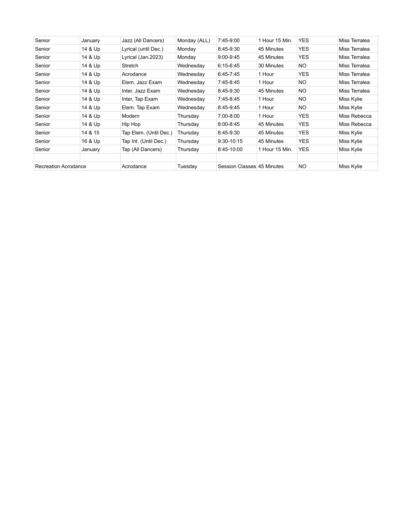| Senior               | January | Jazz (All Dancers)     | Monday (ALL) | 7:45-9:00                  | 1 Hour 15 Min. | <b>YES</b> | Miss Terralea |
|----------------------|---------|------------------------|--------------|----------------------------|----------------|------------|---------------|
| Senior               | 14 & Up | Lyrical (until Dec.)   | Monday       | 8:45-9:30                  | 45 Minutes     | <b>YES</b> | Miss Terralea |
| Senior               | 14 & Up | Lyrical (Jan.2023)     | Monday       | $9:00 - 9:45$              | 45 Minutes     | <b>YES</b> | Miss Terralea |
| Senior               | 14 & Up | Stretch                | Wednesday    | 6:15-6:45                  | 30 Minutes     | NO.        | Miss Terralea |
| Senior               | 14 & Up | Acrodance              | Wednesday    | 6:45-7:45                  | 1 Hour         | <b>YES</b> | Miss Terralea |
| Senior               | 14 & Up | Elem. Jazz Exam        | Wednesday    | 7:45-8:45                  | 1 Hour         | NO.        | Miss Terralea |
| Senior               | 14 & Up | Inter. Jazz Exam       | Wednesdav    | 8:45-9:30                  | 45 Minutes     | NO.        | Miss Terralea |
| Senior               | 14 & Up | Inter, Tap Exam        | Wednesday    | 7:45-8:45                  | 1 Hour         | NO.        | Miss Kylie    |
| Senior               | 14 & Up | Elem. Tap Exam         | Wednesday    | 8:45-9:45                  | 1 Hour         | NO.        | Miss Kylie    |
| Senior               | 14 & Up | Modern                 | Thursday     | 7:00-8:00                  | 1 Hour         | <b>YES</b> | Miss Rebecca  |
| Senior               | 14 & Up | Hip Hop                | Thursday     | 8:00-8:45                  | 45 Minutes     | <b>YES</b> | Miss Rebecca  |
| Senior               | 14 & 15 | Tap Elem. (Until Dec.) | Thursday     | 8:45-9:30                  | 45 Minutes     | <b>YES</b> | Miss Kylie    |
| Senior               | 16 & Up | Tap Int. (Until Dec.)  | Thursday     | 9:30-10:15                 | 45 Minutes     | <b>YES</b> | Miss Kylie    |
| Senior               | January | Tap (All Dancers)      | Thursday     | 8:45-10:00                 | 1 Hour 15 Min. | YES        | Miss Kylie    |
|                      |         |                        |              |                            |                |            |               |
| Recreation Acrodance |         | Acrodance              | Tuesday      | Session Classes 45 Minutes |                | NO.        | Miss Kylie    |